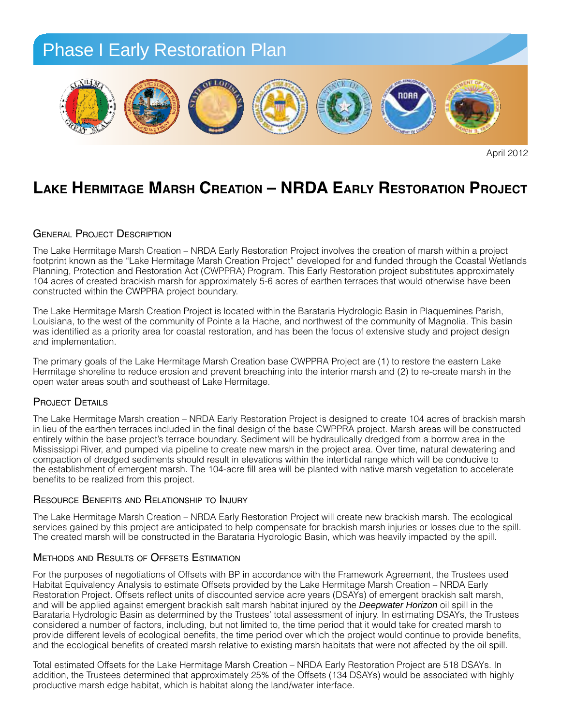

April 2012

## LAKE HERMITAGE MARSH CREATION - NRDA EARLY RESTORATION PROJECT

### GENERAL PROJECT DESCRIPTION

The Lake Hermitage Marsh Creation – NRDA Early Restoration Project involves the creation of marsh within a project footprint known as the "Lake Hermitage Marsh Creation Project" developed for and funded through the Coastal Wetlands Planning, Protection and Restoration Act (CWPPRA) Program. This Early Restoration project substitutes approximately Thammig, included that restoration Act (CWITTIA) Frogram. This Early restoration project substitutes approximately<br>104 acres of created brackish marsh for approximately 5-6 acres of earthen terraces that would otherwise ha constructed within the CWPPRA project boundary.<br>
and the Bureau of Land Management (Fort Morgan Management Morgan Management Morgan Management (Fort Morgan Ma

The Lake Hermitage Marsh Creation Project is located within the Barataria Hydrologic Basin in Plaquemines Parish, The Lake Herringge Marsh Creation Project is located within the Baratana Hydrologic Basin in Plaquemines Pansh,<br>Louisiana, to the west of the community of Pointe a la Hache, and northwest of the community of Magnolia. This was identified as a priority area for coastal restoration, and has been the focus of extensive study and project design and implementation. *restore natural resources that were injured by the Deepwater Horizon oil spill response efforts.*  Beach) form the largest group of coastal land owners along the Alabama Gulf Coast. These owners col-

The primary goals of the Lake Hermitage Marsh Creation base CWPPRA Project are (1) to restore the eastern Lake Hermitage shoreline to reduce erosion and prevent breaching into the interior marsh and (2) to re-create marsh in the<br>case water areas asuth and southeast of Lake Usrmitage open water areas south and southeast of Lake Hermitage. The proposed program and south cast of Earth Fighting shoreline, "living shoreline," a coastline protected by r

### Project Details and natural resources rather than  $\mathbf{P}_{\text{R}}$

The Lake Hermitage Marsh creation – NRDA Early Restoration Project is designed to create 104 acres of brackish marsh<br>in lieu of the earther terresce included in the final design of the base CWPPPA project. Marsh areas will in lieu of the earthen terraces included in the final design of the base CWPPRA project. Marsh areas will be constructed entirely within the base project's terrace boundary. Sediment will be hydraulically dredged from a borrow area in the *Planting:* Mississippi River, and pumped via pipeline to create new marsh in the project area. Over time, natural dewatering and compaction of dredged sediments should result in elevations within the intertidal range which will be conducive to compaction of dredged sediments should result in elevations within the intertidal range which will be conducive to<br>the establishment of emergent marsh. The 104-acre fill area will be planted with native marsh vegetation to are consistent from the realized from this project. many manon vegetation to accelerat

#### Resource Benefits and Relationship to Injury used to ensure proper establishment of the plants.

The Lake Hermitage Marsh Creation – NRDA Early Restoration Project will create new brackish marsh. The ecological Fire Early Hermingge Marsh Oreanon TWHD/VEarly Hestoration Hoject will create hew brackish marsh. The ecological<br>services gained by this project are anticipated to help compensate for brackish marsh injuries or losses due The created marsh will be constructed in the Barataria Hydrologic Basin, which was heavily impacted by the spill.

#### Methods and Results of Offsets Estimation  $\overline{p}$  sand protect the plants.

For the purposes of negotiations of Offsets with BP in accordance with the Framework Agreement, the Trustees used Habitat Equivalency Analysis to estimate Offsets provided by the Lake Hermitage Marsh Creation – NRDA Early riabitat Equivalency Analysis to estimate ensets provided by the Earte Hermitage Marsh Oreation TWHDA Early<br>Restoration Project. Offsets reflect units of discounted service acre years (DSAYs) of emergent brackish salt mars and will be applied against emergent brackish salt marsh habitat injured by the *Deepwater Horizon* oil spill in the Barataria Hydrologic Basin as determined by the Trustees' total assessment of injury. In estimating DSAYs, the Trustees considered a number of factors, including, but not limited to, the time period that it would take for created marsh to *Signage:* provide different levels of ecological benefits, the time period over which the project would continue to provide benefits, and the ecological benefits of created marsh relative to existing marsh habitats that were not affected by the oil spill. the purposes of negotiations of Offsets with BP in accordance with the lines.<br>Het Eswinglang v. Anglygis to estimate Offsets provided by the Lake I

Total estimated Offsets for the Lake Hermitage Marsh Creation – NRDA Early Restoration Project are 518 DSAYs. In addition, the Trustees determined that approximately 25% of the Offsets (134 DSAYs) would be associated with highly productive marsh edge habitat, which is habitat along the land/water interface.